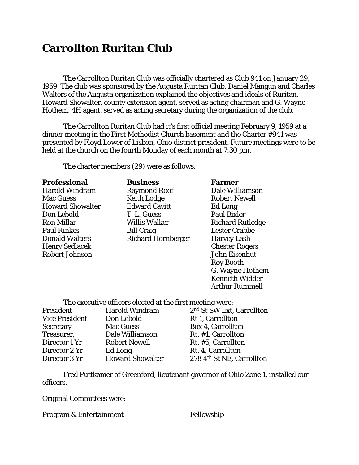## **Carrollton Ruritan Club**

The Carrollton Ruritan Club was officially chartered as Club 941 on January 29, 1959. The club was sponsored by the Augusta Ruritan Club. Daniel Mangun and Charles Walters of the Augusta organization explained the objectives and ideals of Ruritan. Howard Showalter, county extension agent, served as acting chairman and G. Wayne Hothem, 4H agent, served as acting secretary during the organization of the club.

The Carrollton Ruritan Club had it's first official meeting February 9, 1959 at a dinner meeting in the First Methodist Church basement and the Charter #941 was presented by Floyd Lower of Lisbon, Ohio district president. Future meetings were to be held at the church on the fourth Monday of each month at 7:30 pm.

The charter members (29) were as follows:

## **Professional Business Farmer**

Henry Sedlacek Chester Rogers Robert Johnson John Eisenhut

Harold Windram Raymond Roof Dale Williamson Mac Guess **Keith Lodge** Robert Newell Howard Showalter Edward Cavitt Ed Long Don Lebold T. L. Guess Paul Bixler Ron Millar **Nights** Willis Walker **Richard Rutledge** Paul Rinkes Bill Craig Bill Craig Lester Crabbe Donald Walters Richard Hornberger Harvey Lash

## Roy Booth G. Wayne Hothem Kenneth Widder Arthur Rummell

The executive officers elected at the first meeting were:

| President             | <b>Harold Windram</b>   | 2 <sup>nd</sup> St SW Ext, Carrollton |
|-----------------------|-------------------------|---------------------------------------|
| <b>Vice President</b> | Don Lebold              | Rt 1, Carrollton                      |
| <b>Secretary</b>      | <b>Mac Guess</b>        | <b>Box 4, Carrollton</b>              |
| Treasurer,            | Dale Williamson         | Rt. #1, Carrollton                    |
| Director 1 Yr         | <b>Robert Newell</b>    | Rt. #5, Carrollton                    |
| Director 2 Yr         | Ed Long                 | Rt. 4, Carrollton                     |
| Director 3 Yr         | <b>Howard Showalter</b> | 278 4th St NE, Carrollton             |

Fred Puttkamer of Greenford, lieutenant governor of Ohio Zone 1, installed our officers.

Original Committees were:

Program & Entertainment Fellowship